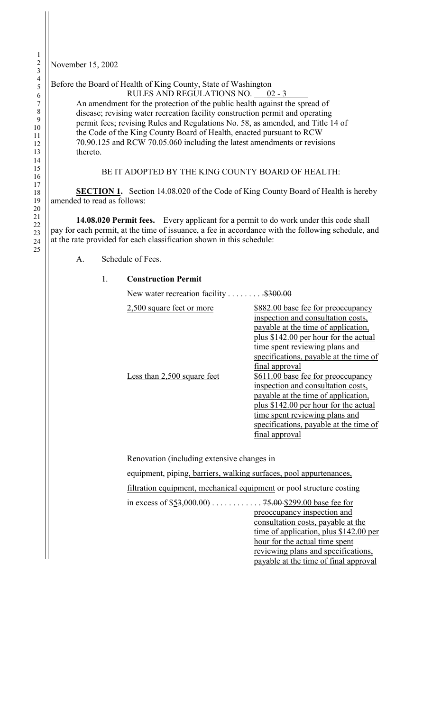November 15, 2002

## Before the Board of Health of King County, State of Washington

RULES AND REGULATIONS NO. 02 - 3

An amendment for the protection of the public health against the spread of disease; revising water recreation facility construction permit and operating permit fees; revising Rules and Regulations No. 58, as amended, and Title 14 of the Code of the King County Board of Health, enacted pursuant to RCW 70.90.125 and RCW 70.05.060 including the latest amendments or revisions thereto.

## BE IT ADOPTED BY THE KING COUNTY BOARD OF HEALTH:

**SECTION 1.** Section 14.08.020 of the Code of King County Board of Health is hereby amended to read as follows:

**14.08.020 Permit fees.** Every applicant for a permit to do work under this code shall pay for each permit, at the time of issuance, a fee in accordance with the following schedule, and at the rate provided for each classification shown in this schedule:

## A. Schedule of Fees.

## 1. **Construction Permit**

New water recreation facility . . . . . . . . . \$300.00

| 2,500 square feet or more   | \$882.00 base fee for preoccupancy<br>inspection and consultation costs,<br>payable at the time of application,<br>plus \$142.00 per hour for the actual                   |  |  |
|-----------------------------|----------------------------------------------------------------------------------------------------------------------------------------------------------------------------|--|--|
| Less than 2,500 square feet | time spent reviewing plans and<br>specifications, payable at the time of<br>final approval<br>\$611.00 base fee for preoccupancy<br>inspection and consultation costs,     |  |  |
|                             | payable at the time of application,<br>plus \$142.00 per hour for the actual<br>time spent reviewing plans and<br>specifications, payable at the time of<br>final approval |  |  |

Renovation (including extensive changes in

equipment, piping, barriers, walking surfaces, pool appurtenances,

filtration equipment, mechanical equipment or pool structure costing

in excess of \$53,000.00) . . . . . . . . . . . . 75.00 \$299.00 base fee for preoccupancy inspection and consultation costs, payable at the

time of application, plus \$142.00 per hour for the actual time spent reviewing plans and specifications, payable at the time of final approval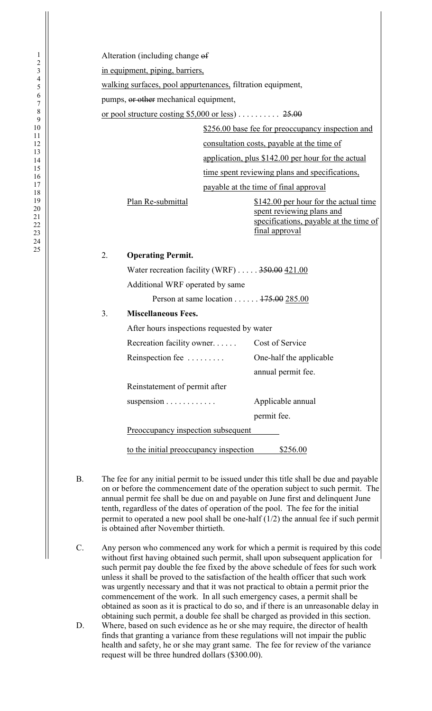Alteration (including change of in equipment, piping, barriers, walking surfaces, pool appurtenances, filtration equipment, pumps, or other mechanical equipment, or pool structure costing \$5,000 or less) . . . . . . . . . . 25.00 \$256.00 base fee for preoccupancy inspection and consultation costs, payable at the time of application, plus \$142.00 per hour for the actual time spent reviewing plans and specifications, payable at the time of final approval Plan Re-submittal \$142.00 per hour for the actual time spent reviewing plans and specifications, payable at the time of final approval 2. **Operating Permit.** Water recreation facility (WRF) . . . . . 350.00 421.00 Additional WRF operated by same Person at same location . . . . . . 175.00 285.00 3. **Miscellaneous Fees.** After hours inspections requested by water Recreation facility owner. . . . . . Cost of Service Reinspection fee . . . . . . . . . One-half the applicable annual permit fee. Reinstatement of permit after suspension . . . . . . . . . . . . . . . . Applicable annual permit fee. Preoccupancy inspection subsequent to the initial preoccupancy inspection \$256.00

- B. The fee for any initial permit to be issued under this title shall be due and payable on or before the commencement date of the operation subject to such permit. The annual permit fee shall be due on and payable on June first and delinquent June tenth, regardless of the dates of operation of the pool. The fee for the initial permit to operated a new pool shall be one-half  $(1/2)$  the annual fee if such permit is obtained after November thirtieth.
- C. Any person who commenced any work for which a permit is required by this code without first having obtained such permit, shall upon subsequent application for such permit pay double the fee fixed by the above schedule of fees for such work unless it shall be proved to the satisfaction of the health officer that such work was urgently necessary and that it was not practical to obtain a permit prior the commencement of the work. In all such emergency cases, a permit shall be obtained as soon as it is practical to do so, and if there is an unreasonable delay in obtaining such permit, a double fee shall be charged as provided in this section.
- D. Where, based on such evidence as he or she may require, the director of health finds that granting a variance from these regulations will not impair the public health and safety, he or she may grant same. The fee for review of the variance request will be three hundred dollars (\$300.00).